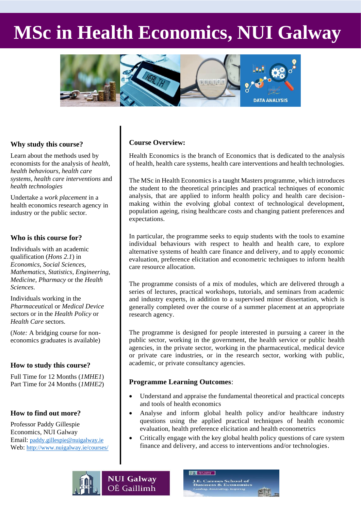# **MSc in Health Economics, NUI Galway**



# **Why study this course?**

l<br>L

Learn about the methods used by economists for the analysis of *health, health behaviours, health care systems, health care interventions* and *health technologies*

Undertake a *work placement* in a health economics research agency in industry or the public sector.

## **Who is this course for?**

Individuals with an academic qualification (*Hons 2.1*) in *Economics, Social Sciences, Mathematics, Statistics, Engineering, Medicine, Pharmacy* or the *Health Sciences*.

Individuals working in the *Pharmaceutica*l or *Medical Device* sectors or in the *Health Policy* or *Health Care* sectors.

(*Note:* A bridging course for noneconomics graduates is available)

# **How to study this course?**

Full Time for 12 Months (*1MHE1*) Part Time for 24 Months (*1MHE2*)

# **How to find out more?**

Professor Paddy Gillespie Economics, NUI Galway Email: [paddy.gillespie@nuigalway.ie](mailto:paddy.gillespie@nuigalway.ie) Web: <http://www.nuigalway.ie/courses/>

# **Course Overview:**

Health Economics is the branch of Economics that is dedicated to the analysis of health, health care systems, health care interventions and health technologies.

The MSc in Health Economics is a taught Masters programme, which introduces the student to the theoretical principles and practical techniques of economic analysis, that are applied to inform health policy and health care decisionmaking within the evolving global context of technological development, population ageing, rising healthcare costs and changing patient preferences and expectations.

In particular, the programme seeks to equip students with the tools to examine individual behaviours with respect to health and health care, to explore alternative systems of health care finance and delivery, and to apply economic evaluation, preference elicitation and econometric techniques to inform health care resource allocation.

The programme consists of a mix of modules, which are delivered through a series of lectures, practical workshops, tutorials, and seminars from academic and industry experts, in addition to a supervised minor dissertation, which is generally completed over the course of a summer placement at an appropriate research agency.

The programme is designed for people interested in pursuing a career in the public sector, working in the government, the health service or public health agencies, in the private sector, working in the pharmaceutical, medical device or private care industries, or in the research sector, working with public, academic, or private consultancy agencies.

## **Programme Learning Outcomes**:

- Understand and appraise the fundamental theoretical and practical concepts and tools of health economics
- Analyse and inform global health policy and/or healthcare industry questions using the applied practical techniques of health economic evaluation, health preference elicitation and health econometrics
- Critically engage with the key global health policy questions of care system finance and delivery, and access to interventions and/or technologies.